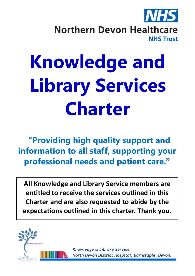

**Northern Devon Healthcare NHS Trust** 

# **Knowledge and Library Services Charter**

**"Providing high quality support and information to all staff, supporting your professional needs and patient care."**

**All Knowledge and Library Service members are entitled to receive the services outlined in this Charter and are also requested to abide by the expectations outlined in this charter. Thank you.**



*Knowledge & Library Service North Devon District Hospital, Barnstaple, Devon.*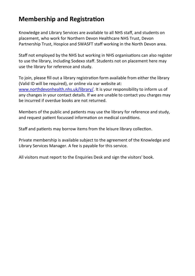## **Membership and Registration**

Knowledge and Library Services are available to all NHS staff, and students on placement, who work for Northern Devon Healthcare NHS Trust, Devon Partnership Trust, Hospice and SWASFT staff working in the North Devon area.

Staff not employed by the NHS but working in NHS organisations can also register to use the library, including Sodexo staff. Students not on placement here may use the library for reference and study.

To join, please fill out a library registration form available from either the library (Valid ID will be required), or online via our website at: [www.northdevonhealth.nhs.uk/library/.](https://www.northdevonhealth.nhs.uk/library/) It is your responsibility to inform us of any changes in your contact details. If we are unable to contact you charges may be incurred if overdue books are not returned.

Members of the public and patients may use the library for reference and study, and request patient focussed information on medical conditions.

Staff and patients may borrow items from the leisure library collection.

Private membership is available subject to the agreement of the Knowledge and Library Services Manager. A fee is payable for this service.

All visitors must report to the Enquiries Desk and sign the visitors' book.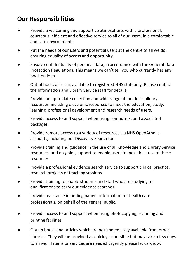# **Our Responsibilities**

- Provide a welcoming and supportive atmosphere, with a professional, courteous, efficient and effective service to all of our users, in a comfortable and safe environment.
- Put the needs of our users and potential users at the centre of all we do, ensuring equality of access and opportunity.
- Ensure confidentiality of personal data, in accordance with the General Data Protection Regulations. This means we can't tell you who currently has any book on loan.
- Out of hours access is available to registered NHS staff only. Please contact the Information and Library Service staff for details.
- Provide an up to date collection and wide range of multidisciplinary resources, including electronic resources to meet the education, study, learning, professional development and research needs of users.
- $\bullet$  Provide access to and support when using computers, and associated packages.
- Provide remote access to a variety of resources via NHS OpenAthens accounts, including our Discovery Search tool.
- Provide training and guidance in the use of all Knowledge and Library Service resources, and on-going support to enable users to make best use of these resources.
- Provide a professional evidence search service to support clinical practice, research projects or teaching sessions.
- Provide training to enable students and staff who are studying for qualifications to carry out evidence searches.
- Provide assistance in finding patient information for health care professionals, on behalf of the general public.
- $\bullet$  Provide access to and support when using photocopying, scanning and printing facilities.
- Obtain books and articles which are not immediately available from other libraries. They will be provided as quickly as possible but may take a few days to arrive. If items or services are needed urgently please let us know.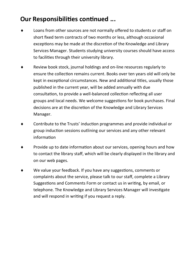# **Our Responsibilities continued ...**

- Loans from other sources are not normally offered to students or staff on short fixed term contracts of two months or less, although occasional exceptions may be made at the discretion of the Knowledge and Library Services Manager. Students studying university courses should have access to facilities through their university library.
- Review book stock, journal holdings and on-line resources regularly to ensure the collection remains current. Books over ten years old will only be kept in exceptional circumstances. New and additional titles, usually those published in the current year, will be added annually with due consultation, to provide a well-balanced collection reflecting all user groups and local needs. We welcome suggestions for book purchases. Final decisions are at the discretion of the Knowledge and Library Services Manager.
- Contribute to the Trusts' induction programmes and provide individual or group induction sessions outlining our services and any other relevant information
- Provide up to date information about our services, opening hours and how to contact the library staff, which will be clearly displayed in the library and on our web pages.
- We value your feedback. If you have any suggestions, comments or complaints about the service, please talk to our staff, complete a Library Suggestions and Comments Form or contact us in writing, by email, or telephone. The Knowledge and Library Services Manager will investigate and will respond in writing if you request a reply.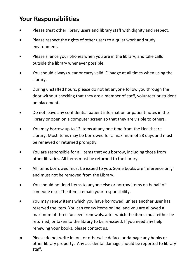## **Your Responsibilities**

- Please treat other library users and library staff with dignity and respect.
- Please respect the rights of other users to a quiet work and study environment.
- Please silence your phones when you are in the library, and take calls outside the library whenever possible.
- You should always wear or carry valid ID badge at all times when using the Library.
- During unstaffed hours, please do not let anyone follow you through the door without checking that they are a member of staff, volunteer or student on placement.
- Do not leave any confidential patient information or patient notes in the library or open on a computer screen so that they are visible to others.
- You may borrow up to 12 items at any one time from the Healthcare Library. Most items may be borrowed for a maximum of 28 days and must be renewed or returned promptly.
- You are responsible for all items that you borrow, including those from other libraries. All items must be returned to the library.
- All items borrowed must be issued to you. Some books are 'reference only' and must not be removed from the Library.
- You should not lend items to anyone else or borrow items on behalf of someone else. The items remain your responsibility.
- You may renew items which you have borrowed, unless another user has reserved the item. You can renew items online, and you are allowed a maximum of three 'unseen' renewals, after which the items must either be returned, or taken to the library to be re-issued. If you need any help renewing your books, please contact us.
- Please do not write in, on, or otherwise deface or damage any books or other library property. Any accidental damage should be reported to library staff.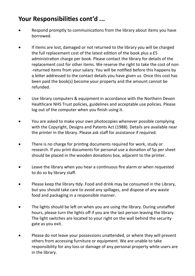# **Your Responsibilities cont'd ...**

- Respond promptly to communications from the library about items you have borrowed.
- If items are lost, damaged or not returned to the library you will be charged the full replacement cost of the latest edition of the book plus a £5 administration charge per book. Please contact the library for details of the replacement cost for other items. We reserve the right to take the cost of non -returned items from your salary. You will be notified before this happens by a letter addressed to the contact details you have given us. Once this cost has been paid the book(s) become your property and the amount cannot be refunded.
- Use library computers & equipment in accordance with the Northern Devon Healthcare NHS Trust policies, guidelines and acceptable use policies. Please log out of the computer when you finish using it.
- You are asked to make your own photocopies whenever possible complying with the Copyright, Designs and Patents Act (1988). Details are available near the printer in the library. Please ask staff for assistance if required.
- There is no charge for printing documents required for work, study or research. If you print documents for personal use a donation of 5p per sheet should be placed in the wooden donations box, adjacent to the printer.
- Leave the library when you hear a continuous fire alarm or when requested to do so by library staff.
- Please keep the library tidy. Food and drink may be consumed in the Library, but you should take care to avoid any spillages, and dispose of any waste food and packaging in a responsible manner.
- The lights should be left on when you are using the library. During unstaffed hours, please turn the lights off if you are the last person leaving the library. The light switches are located to your right on the wall behind the security gate as you exit.
- Please do not leave your possessions unattended, or where they will prevent others from accessing furniture or equipment. We are unable to take responsibility for any loss or damage of any personal property while users are in the library.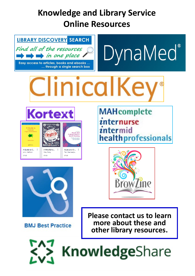# **Knowledge and Library Service Online Resources**



**other library resources.**

**KnowledgeShare**